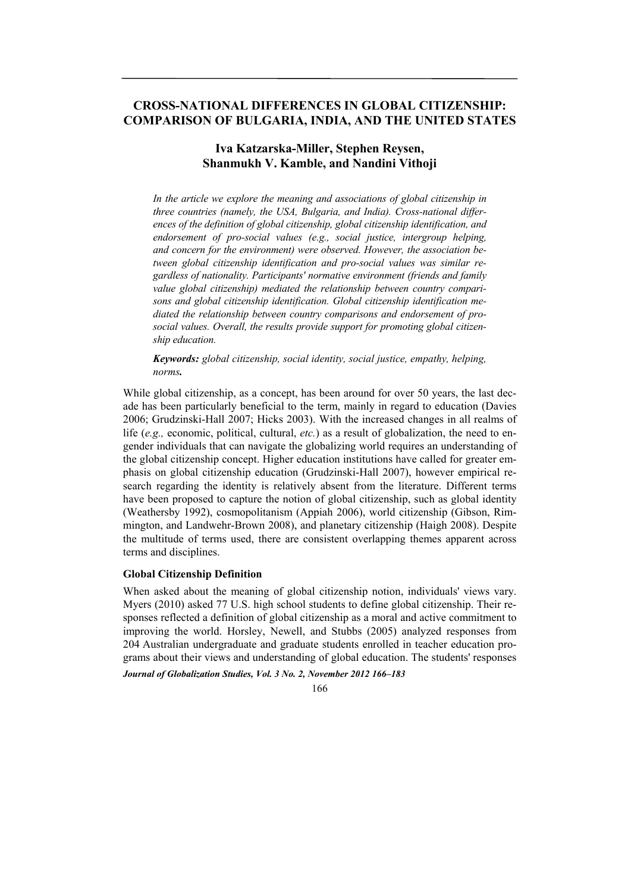# **CROSS-NATIONAL DIFFERENCES IN GLOBAL CITIZENSHIP: COMPARISON OF BULGARIA, INDIA, AND THE UNITED STATES**

# **Iva Katzarska-Miller, Stephen Reysen, Shanmukh V. Kamble, and Nandini Vithoji**

In the article we explore the meaning and associations of global citizenship in *three countries (namely, the USA, Bulgaria, and India). Cross-national differences of the definition of global citizenship, global citizenship identification, and endorsement of pro-social values (e.g., social justice, intergroup helping, and concern for the environment) were observed. However, the association between global citizenship identification and pro-social values was similar regardless of nationality. Participants' normative environment (friends and family value global citizenship) mediated the relationship between country comparisons and global citizenship identification. Global citizenship identification mediated the relationship between country comparisons and endorsement of prosocial values. Overall, the results provide support for promoting global citizenship education.* 

*Keywords: global citizenship, social identity, social justice, empathy, helping, norms.*

While global citizenship, as a concept, has been around for over 50 years, the last decade has been particularly beneficial to the term, mainly in regard to education (Davies 2006; Grudzinski-Hall 2007; Hicks 2003). With the increased changes in all realms of life (*e.g.,* economic, political, cultural, *etc.*) as a result of globalization, the need to engender individuals that can navigate the globalizing world requires an understanding of the global citizenship concept. Higher education institutions have called for greater emphasis on global citizenship education (Grudzinski-Hall 2007), however empirical research regarding the identity is relatively absent from the literature. Different terms have been proposed to capture the notion of global citizenship, such as global identity (Weathersby 1992), cosmopolitanism (Appiah 2006), world citizenship (Gibson, Rimmington, and Landwehr-Brown 2008), and planetary citizenship (Haigh 2008). Despite the multitude of terms used, there are consistent overlapping themes apparent across terms and disciplines.

# **Global Citizenship Definition**

When asked about the meaning of global citizenship notion, individuals' views vary. Myers (2010) asked 77 U.S. high school students to define global citizenship. Their responses reflected a definition of global citizenship as a moral and active commitment to improving the world. Horsley, Newell, and Stubbs (2005) analyzed responses from 204 Australian undergraduate and graduate students enrolled in teacher education programs about their views and understanding of global education. The students' responses

*Journal of Globalization Studies, Vol. 3 No. 2, November 2012 166–183* 

<sup>166</sup>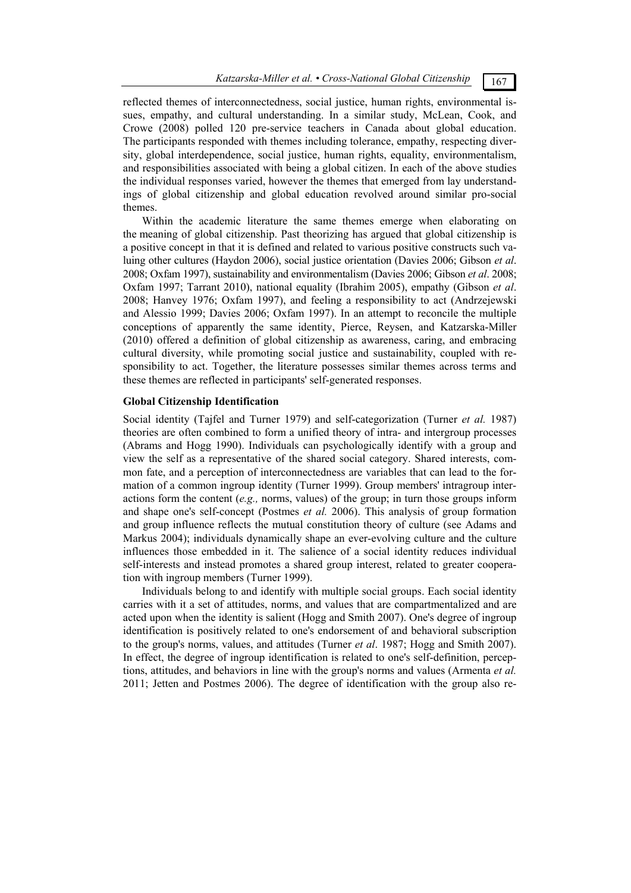reflected themes of interconnectedness, social justice, human rights, environmental issues, empathy, and cultural understanding. In a similar study, McLean, Cook, and Crowe (2008) polled 120 pre-service teachers in Canada about global education. The participants responded with themes including tolerance, empathy, respecting diversity, global interdependence, social justice, human rights, equality, environmentalism, and responsibilities associated with being a global citizen. In each of the above studies the individual responses varied, however the themes that emerged from lay understandings of global citizenship and global education revolved around similar pro-social themes.

Within the academic literature the same themes emerge when elaborating on the meaning of global citizenship. Past theorizing has argued that global citizenship is a positive concept in that it is defined and related to various positive constructs such valuing other cultures (Haydon 2006), social justice orientation (Davies 2006; Gibson *et al*. 2008; Oxfam 1997), sustainability and environmentalism (Davies 2006; Gibson *et al*. 2008; Oxfam 1997; Tarrant 2010), national equality (Ibrahim 2005), empathy (Gibson *et al*. 2008; Hanvey 1976; Oxfam 1997), and feeling a responsibility to act (Andrzejewski and Alessio 1999; Davies 2006; Oxfam 1997). In an attempt to reconcile the multiple conceptions of apparently the same identity, Pierce, Reysen, and Katzarska-Miller (2010) offered a definition of global citizenship as awareness, caring, and embracing cultural diversity, while promoting social justice and sustainability, coupled with responsibility to act. Together, the literature possesses similar themes across terms and these themes are reflected in participants' self-generated responses.

# **Global Citizenship Identification**

Social identity (Tajfel and Turner 1979) and self-categorization (Turner *et al.* 1987) theories are often combined to form a unified theory of intra- and intergroup processes (Abrams and Hogg 1990). Individuals can psychologically identify with a group and view the self as a representative of the shared social category. Shared interests, common fate, and a perception of interconnectedness are variables that can lead to the formation of a common ingroup identity (Turner 1999). Group members' intragroup interactions form the content (*e.g.,* norms, values) of the group; in turn those groups inform and shape one's self-concept (Postmes *et al.* 2006). This analysis of group formation and group influence reflects the mutual constitution theory of culture (see Adams and Markus 2004); individuals dynamically shape an ever-evolving culture and the culture influences those embedded in it. The salience of a social identity reduces individual self-interests and instead promotes a shared group interest, related to greater cooperation with ingroup members (Turner 1999).

Individuals belong to and identify with multiple social groups. Each social identity carries with it a set of attitudes, norms, and values that are compartmentalized and are acted upon when the identity is salient (Hogg and Smith 2007). One's degree of ingroup identification is positively related to one's endorsement of and behavioral subscription to the group's norms, values, and attitudes (Turner *et al*. 1987; Hogg and Smith 2007). In effect, the degree of ingroup identification is related to one's self-definition, perceptions, attitudes, and behaviors in line with the group's norms and values (Armenta *et al.* 2011; Jetten and Postmes 2006). The degree of identification with the group also re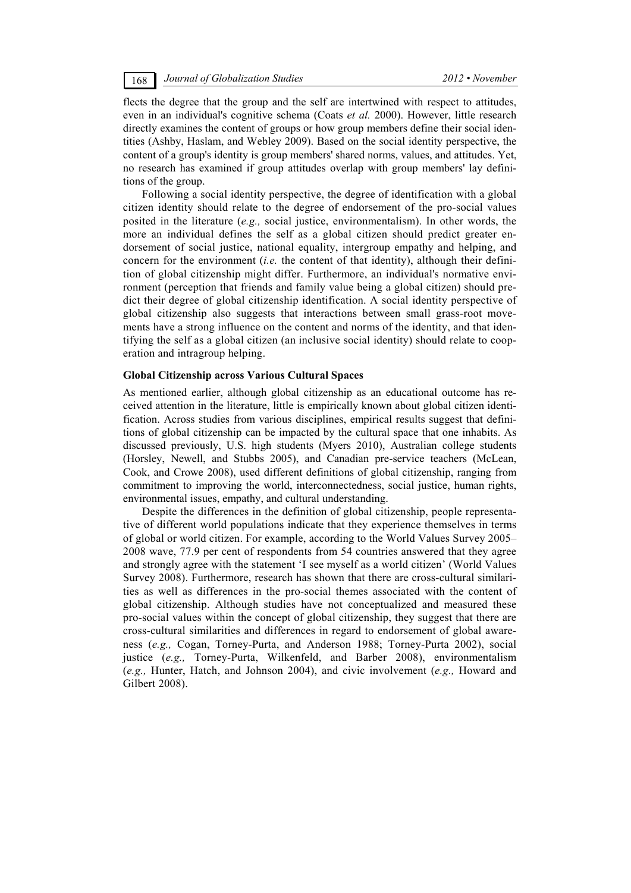flects the degree that the group and the self are intertwined with respect to attitudes, even in an individual's cognitive schema (Coats *et al.* 2000). However, little research directly examines the content of groups or how group members define their social identities (Ashby, Haslam, and Webley 2009). Based on the social identity perspective, the content of a group's identity is group members' shared norms, values, and attitudes. Yet, no research has examined if group attitudes overlap with group members' lay definitions of the group.

Following a social identity perspective, the degree of identification with a global citizen identity should relate to the degree of endorsement of the pro-social values posited in the literature (*e.g.,* social justice, environmentalism). In other words, the more an individual defines the self as a global citizen should predict greater endorsement of social justice, national equality, intergroup empathy and helping, and concern for the environment (*i.e.* the content of that identity), although their definition of global citizenship might differ. Furthermore, an individual's normative environment (perception that friends and family value being a global citizen) should predict their degree of global citizenship identification. A social identity perspective of global citizenship also suggests that interactions between small grass-root movements have a strong influence on the content and norms of the identity, and that identifying the self as a global citizen (an inclusive social identity) should relate to cooperation and intragroup helping.

#### **Global Citizenship across Various Cultural Spaces**

As mentioned earlier, although global citizenship as an educational outcome has received attention in the literature, little is empirically known about global citizen identification. Across studies from various disciplines, empirical results suggest that definitions of global citizenship can be impacted by the cultural space that one inhabits. As discussed previously, U.S. high students (Myers 2010), Australian college students (Horsley, Newell, and Stubbs 2005), and Canadian pre-service teachers (McLean, Cook, and Crowe 2008), used different definitions of global citizenship, ranging from commitment to improving the world, interconnectedness, social justice, human rights, environmental issues, empathy, and cultural understanding.

Despite the differences in the definition of global citizenship, people representative of different world populations indicate that they experience themselves in terms of global or world citizen. For example, according to the World Values Survey 2005– 2008 wave, 77.9 per cent of respondents from 54 countries answered that they agree and strongly agree with the statement 'I see myself as a world citizen' (World Values Survey 2008). Furthermore, research has shown that there are cross-cultural similarities as well as differences in the pro-social themes associated with the content of global citizenship. Although studies have not conceptualized and measured these pro-social values within the concept of global citizenship, they suggest that there are cross-cultural similarities and differences in regard to endorsement of global awareness (*e.g.,* Cogan, Torney-Purta, and Anderson 1988; Torney-Purta 2002), social justice (*e.g.,* Torney-Purta, Wilkenfeld, and Barber 2008), environmentalism (*e.g.,* Hunter, Hatch, and Johnson 2004), and civic involvement (*e.g.,* Howard and Gilbert 2008).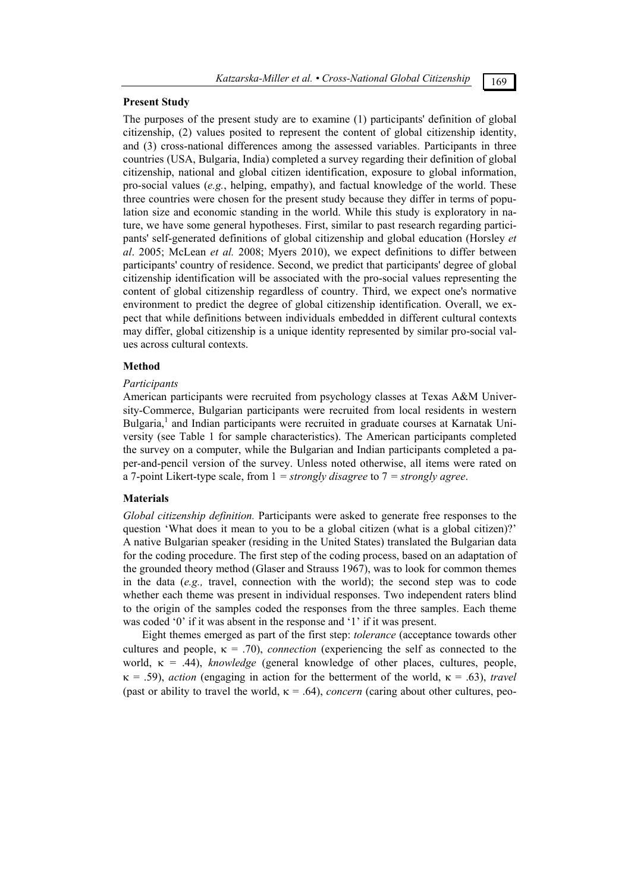# **Present Study**

The purposes of the present study are to examine (1) participants' definition of global citizenship, (2) values posited to represent the content of global citizenship identity, and (3) cross-national differences among the assessed variables. Participants in three countries (USA, Bulgaria, India) completed a survey regarding their definition of global citizenship, national and global citizen identification, exposure to global information, pro-social values (*e.g.*, helping, empathy), and factual knowledge of the world. These three countries were chosen for the present study because they differ in terms of population size and economic standing in the world. While this study is exploratory in nature, we have some general hypotheses. First, similar to past research regarding participants' self-generated definitions of global citizenship and global education (Horsley *et al*. 2005; McLean *et al.* 2008; Myers 2010), we expect definitions to differ between participants' country of residence. Second, we predict that participants' degree of global citizenship identification will be associated with the pro-social values representing the content of global citizenship regardless of country. Third, we expect one's normative environment to predict the degree of global citizenship identification. Overall, we expect that while definitions between individuals embedded in different cultural contexts may differ, global citizenship is a unique identity represented by similar pro-social values across cultural contexts.

#### **Method**

#### *Participants*

American participants were recruited from psychology classes at Texas A&M University-Commerce, Bulgarian participants were recruited from local residents in western Bulgaria,<sup>1</sup> and Indian participants were recruited in graduate courses at Karnatak University (see Table 1 for sample characteristics). The American participants completed the survey on a computer, while the Bulgarian and Indian participants completed a paper-and-pencil version of the survey. Unless noted otherwise, all items were rated on a 7-point Likert-type scale, from 1 *= strongly disagree* to 7 *= strongly agree*.

# **Materials**

*Global citizenship definition.* Participants were asked to generate free responses to the question 'What does it mean to you to be a global citizen (what is a global citizen)?' A native Bulgarian speaker (residing in the United States) translated the Bulgarian data for the coding procedure. The first step of the coding process, based on an adaptation of the grounded theory method (Glaser and Strauss 1967), was to look for common themes in the data (*e.g.,* travel, connection with the world); the second step was to code whether each theme was present in individual responses. Two independent raters blind to the origin of the samples coded the responses from the three samples. Each theme was coded '0' if it was absent in the response and '1' if it was present.

Eight themes emerged as part of the first step: *tolerance* (acceptance towards other cultures and people,  $\kappa = .70$ ), *connection* (experiencing the self as connected to the world,  $\kappa$  = .44), *knowledge* (general knowledge of other places, cultures, people,  $\kappa$  = .59), *action* (engaging in action for the betterment of the world,  $\kappa$  = .63), *travel* (past or ability to travel the world,  $\kappa = .64$ ), *concern* (caring about other cultures, peo-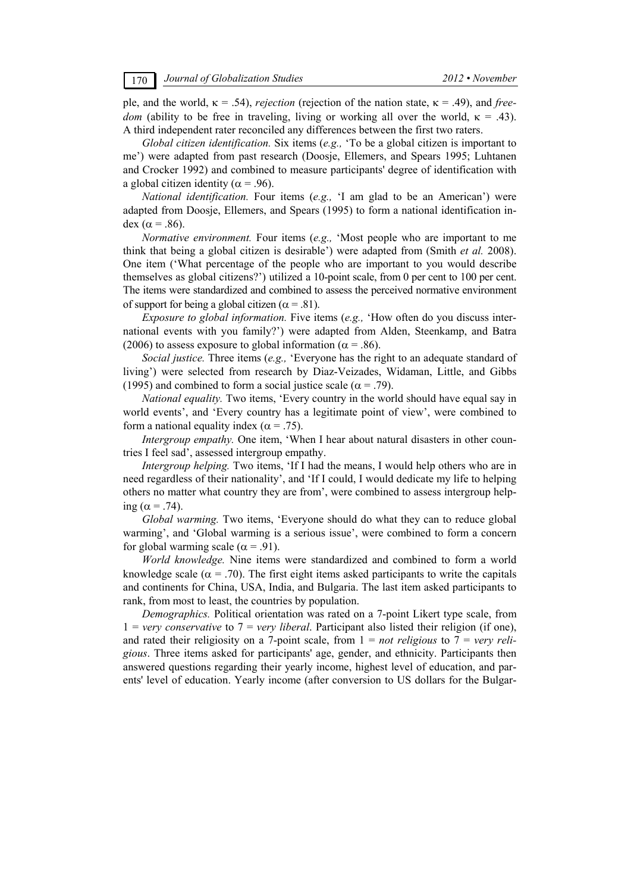ple, and the world,  $\kappa = .54$ ), *rejection* (rejection of the nation state,  $\kappa = .49$ ), and *freedom* (ability to be free in traveling, living or working all over the world,  $\kappa = .43$ ). A third independent rater reconciled any differences between the first two raters.

*Global citizen identification.* Six items (*e.g.,* 'To be a global citizen is important to me') were adapted from past research (Doosje, Ellemers, and Spears 1995; Luhtanen and Crocker 1992) and combined to measure participants' degree of identification with a global citizen identity ( $\alpha$  = .96).

*National identification.* Four items (*e.g.,* 'I am glad to be an American') were adapted from Doosje, Ellemers, and Spears (1995) to form a national identification index ( $\alpha$  = .86).

*Normative environment.* Four items (*e.g.,* 'Most people who are important to me think that being a global citizen is desirable') were adapted from (Smith *et al.* 2008). One item ('What percentage of the people who are important to you would describe themselves as global citizens?') utilized a 10-point scale, from 0 per cent to 100 per cent. The items were standardized and combined to assess the perceived normative environment of support for being a global citizen ( $\alpha$  = .81).

*Exposure to global information.* Five items (*e.g.,* 'How often do you discuss international events with you family?') were adapted from Alden, Steenkamp, and Batra (2006) to assess exposure to global information ( $\alpha$  = .86).

*Social justice.* Three items (*e.g.,* 'Everyone has the right to an adequate standard of living') were selected from research by Diaz-Veizades, Widaman, Little, and Gibbs (1995) and combined to form a social justice scale ( $\alpha$  = .79).

*National equality.* Two items, 'Every country in the world should have equal say in world events', and 'Every country has a legitimate point of view', were combined to form a national equality index ( $\alpha$  = .75).

*Intergroup empathy.* One item, 'When I hear about natural disasters in other countries I feel sad', assessed intergroup empathy.

*Intergroup helping.* Two items, 'If I had the means, I would help others who are in need regardless of their nationality', and 'If I could, I would dedicate my life to helping others no matter what country they are from', were combined to assess intergroup helping ( $\alpha$  = .74).

*Global warming.* Two items, 'Everyone should do what they can to reduce global warming', and 'Global warming is a serious issue', were combined to form a concern for global warming scale ( $\alpha$  = .91).

*World knowledge.* Nine items were standardized and combined to form a world knowledge scale ( $\alpha$  = .70). The first eight items asked participants to write the capitals and continents for China, USA, India, and Bulgaria. The last item asked participants to rank, from most to least, the countries by population.

*Demographics.* Political orientation was rated on a 7-point Likert type scale, from 1 = *very conservative* to 7 = *very liberal*. Participant also listed their religion (if one), and rated their religiosity on a 7-point scale, from 1 = *not religious* to 7 = *very religious*. Three items asked for participants' age, gender, and ethnicity. Participants then answered questions regarding their yearly income, highest level of education, and parents' level of education. Yearly income (after conversion to US dollars for the Bulgar-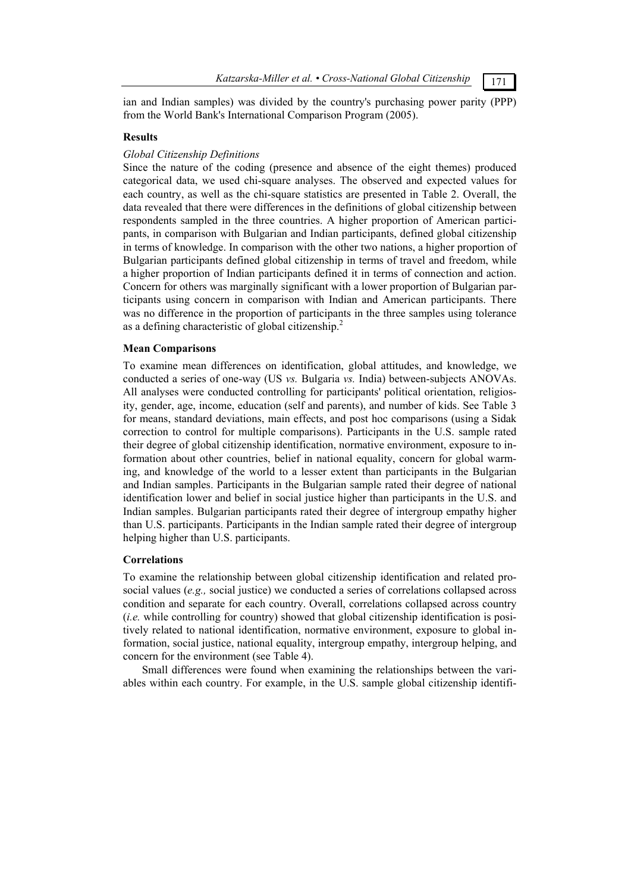ian and Indian samples) was divided by the country's purchasing power parity (PPP) from the World Bank's International Comparison Program (2005).

# **Results**

#### *Global Citizenship Definitions*

Since the nature of the coding (presence and absence of the eight themes) produced categorical data, we used chi-square analyses. The observed and expected values for each country, as well as the chi-square statistics are presented in Table 2. Overall, the data revealed that there were differences in the definitions of global citizenship between respondents sampled in the three countries. A higher proportion of American participants, in comparison with Bulgarian and Indian participants, defined global citizenship in terms of knowledge. In comparison with the other two nations, a higher proportion of Bulgarian participants defined global citizenship in terms of travel and freedom, while a higher proportion of Indian participants defined it in terms of connection and action. Concern for others was marginally significant with a lower proportion of Bulgarian participants using concern in comparison with Indian and American participants. There was no difference in the proportion of participants in the three samples using tolerance as a defining characteristic of global citizenship.<sup>2</sup>

#### **Mean Comparisons**

To examine mean differences on identification, global attitudes, and knowledge, we conducted a series of one-way (US *vs.* Bulgaria *vs.* India) between-subjects ANOVAs. All analyses were conducted controlling for participants' political orientation, religiosity, gender, age, income, education (self and parents), and number of kids. See Table 3 for means, standard deviations, main effects, and post hoc comparisons (using a Sidak correction to control for multiple comparisons). Participants in the U.S. sample rated their degree of global citizenship identification, normative environment, exposure to information about other countries, belief in national equality, concern for global warming, and knowledge of the world to a lesser extent than participants in the Bulgarian and Indian samples. Participants in the Bulgarian sample rated their degree of national identification lower and belief in social justice higher than participants in the U.S. and Indian samples. Bulgarian participants rated their degree of intergroup empathy higher than U.S. participants. Participants in the Indian sample rated their degree of intergroup helping higher than U.S. participants.

#### **Correlations**

To examine the relationship between global citizenship identification and related prosocial values (*e.g.,* social justice) we conducted a series of correlations collapsed across condition and separate for each country. Overall, correlations collapsed across country (*i.e.* while controlling for country) showed that global citizenship identification is positively related to national identification, normative environment, exposure to global information, social justice, national equality, intergroup empathy, intergroup helping, and concern for the environment (see Table 4).

Small differences were found when examining the relationships between the variables within each country. For example, in the U.S. sample global citizenship identifi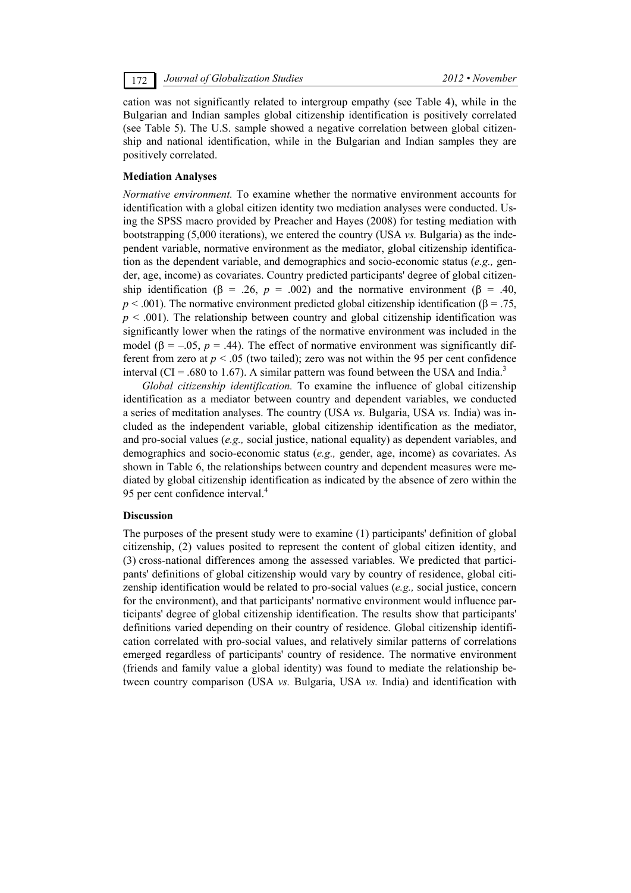cation was not significantly related to intergroup empathy (see Table 4), while in the Bulgarian and Indian samples global citizenship identification is positively correlated (see Table 5). The U.S. sample showed a negative correlation between global citizenship and national identification, while in the Bulgarian and Indian samples they are positively correlated.

#### **Mediation Analyses**

*Normative environment.* To examine whether the normative environment accounts for identification with a global citizen identity two mediation analyses were conducted. Using the SPSS macro provided by Preacher and Hayes (2008) for testing mediation with bootstrapping (5,000 iterations), we entered the country (USA *vs.* Bulgaria) as the independent variable, normative environment as the mediator, global citizenship identification as the dependent variable, and demographics and socio-economic status (*e.g.,* gender, age, income) as covariates. Country predicted participants' degree of global citizenship identification ( $\beta$  = .26,  $p$  = .002) and the normative environment ( $\beta$  = .40,  $p < .001$ ). The normative environment predicted global citizenship identification ( $\beta = .75$ ,  $p \leq 0.001$ ). The relationship between country and global citizenship identification was significantly lower when the ratings of the normative environment was included in the model  $(6 = -0.05, p = 0.44)$ . The effect of normative environment was significantly different from zero at  $p < .05$  (two tailed); zero was not within the 95 per cent confidence interval (CI = .680 to 1.67). A similar pattern was found between the USA and India.<sup>3</sup>

*Global citizenship identification.* To examine the influence of global citizenship identification as a mediator between country and dependent variables, we conducted a series of meditation analyses. The country (USA *vs.* Bulgaria, USA *vs.* India) was included as the independent variable, global citizenship identification as the mediator, and pro-social values (*e.g.,* social justice, national equality) as dependent variables, and demographics and socio-economic status (*e.g.,* gender, age, income) as covariates. As shown in Table 6, the relationships between country and dependent measures were mediated by global citizenship identification as indicated by the absence of zero within the 95 per cent confidence interval.<sup>4</sup>

# **Discussion**

The purposes of the present study were to examine (1) participants' definition of global citizenship, (2) values posited to represent the content of global citizen identity, and (3) cross-national differences among the assessed variables. We predicted that participants' definitions of global citizenship would vary by country of residence, global citizenship identification would be related to pro-social values (*e.g.,* social justice, concern for the environment), and that participants' normative environment would influence participants' degree of global citizenship identification. The results show that participants' definitions varied depending on their country of residence. Global citizenship identification correlated with pro-social values, and relatively similar patterns of correlations emerged regardless of participants' country of residence. The normative environment (friends and family value a global identity) was found to mediate the relationship between country comparison (USA *vs.* Bulgaria, USA *vs.* India) and identification with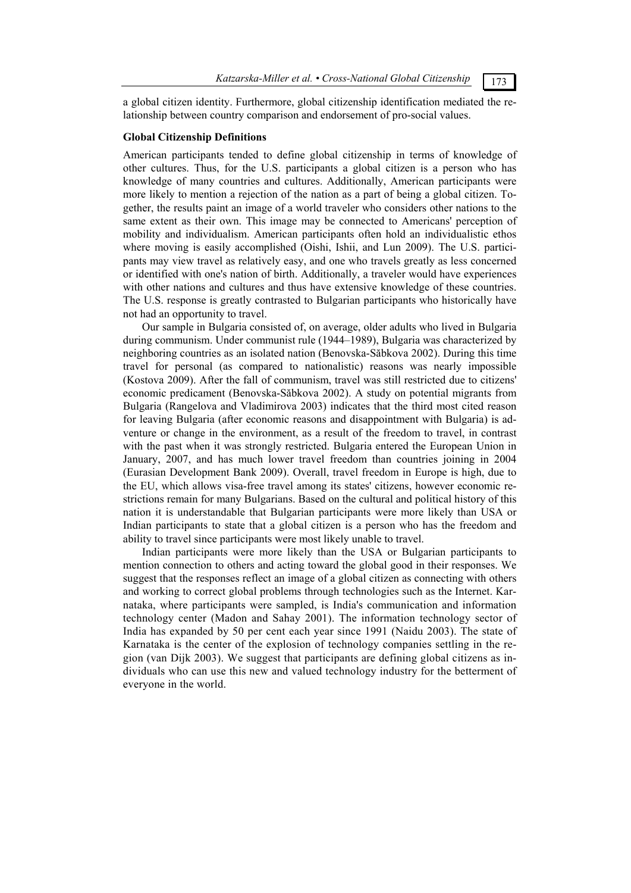a global citizen identity. Furthermore, global citizenship identification mediated the relationship between country comparison and endorsement of pro-social values.

### **Global Citizenship Definitions**

American participants tended to define global citizenship in terms of knowledge of other cultures. Thus, for the U.S. participants a global citizen is a person who has knowledge of many countries and cultures. Additionally, American participants were more likely to mention a rejection of the nation as a part of being a global citizen. Together, the results paint an image of a world traveler who considers other nations to the same extent as their own. This image may be connected to Americans' perception of mobility and individualism. American participants often hold an individualistic ethos where moving is easily accomplished (Oishi, Ishii, and Lun 2009). The U.S. participants may view travel as relatively easy, and one who travels greatly as less concerned or identified with one's nation of birth. Additionally, a traveler would have experiences with other nations and cultures and thus have extensive knowledge of these countries. The U.S. response is greatly contrasted to Bulgarian participants who historically have not had an opportunity to travel.

Our sample in Bulgaria consisted of, on average, older adults who lived in Bulgaria during communism. Under communist rule (1944–1989), Bulgaria was characterized by neighboring countries as an isolated nation (Benovska-Săbkova 2002). During this time travel for personal (as compared to nationalistic) reasons was nearly impossible (Kostova 2009). After the fall of communism, travel was still restricted due to citizens' economic predicament (Benovska-Săbkova 2002). A study on potential migrants from Bulgaria (Rangelova and Vladimirova 2003) indicates that the third most cited reason for leaving Bulgaria (after economic reasons and disappointment with Bulgaria) is adventure or change in the environment, as a result of the freedom to travel, in contrast with the past when it was strongly restricted. Bulgaria entered the European Union in January, 2007, and has much lower travel freedom than countries joining in 2004 (Eurasian Development Bank 2009). Overall, travel freedom in Europe is high, due to the EU, which allows visa-free travel among its states' citizens, however economic restrictions remain for many Bulgarians. Based on the cultural and political history of this nation it is understandable that Bulgarian participants were more likely than USA or Indian participants to state that a global citizen is a person who has the freedom and ability to travel since participants were most likely unable to travel.

Indian participants were more likely than the USA or Bulgarian participants to mention connection to others and acting toward the global good in their responses. We suggest that the responses reflect an image of a global citizen as connecting with others and working to correct global problems through technologies such as the Internet. Karnataka, where participants were sampled, is India's communication and information technology center (Madon and Sahay 2001). The information technology sector of India has expanded by 50 per cent each year since 1991 (Naidu 2003). The state of Karnataka is the center of the explosion of technology companies settling in the region (van Dijk 2003). We suggest that participants are defining global citizens as individuals who can use this new and valued technology industry for the betterment of everyone in the world.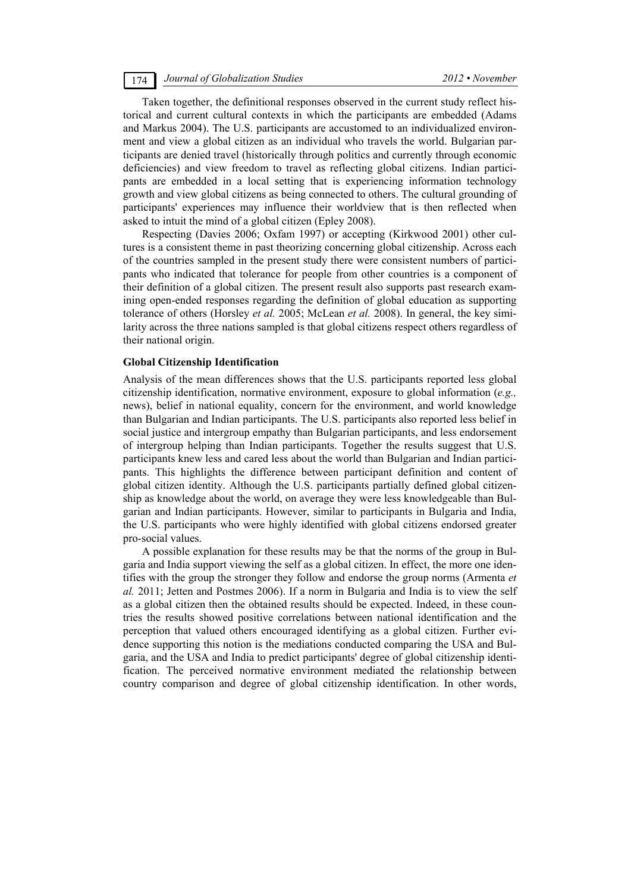Taken together, the definitional responses observed in the current study reflect historical and current cultural contexts in which the participants are embedded (Adams and Markus 2004). The U.S. participants are accustomed to an individualized environment and view a global citizen as an individual who travels the world. Bulgarian participants are denied travel (historically through politics and currently through economic deficiencies) and view freedom to travel as reflecting global citizens. Indian participants are embedded in a local setting that is experiencing information technology growth and view global citizens as being connected to others. The cultural grounding of participants' experiences may influence their worldview that is then reflected when asked to intuit the mind of a global citizen (Epley 2008).

Respecting (Davies 2006; Oxfam 1997) or accepting (Kirkwood 2001) other cultures is a consistent theme in past theorizing concerning global citizenship. Across each of the countries sampled in the present study there were consistent numbers of participants who indicated that tolerance for people from other countries is a component of their definition of a global citizen. The present result also supports past research examining open-ended responses regarding the definition of global education as supporting tolerance of others (Horsley *et al.* 2005; McLean *et al.* 2008). In general, the key similarity across the three nations sampled is that global citizens respect others regardless of their national origin.

#### **Global Citizenship Identification**

Analysis of the mean differences shows that the U.S. participants reported less global citizenship identification, normative environment, exposure to global information (*e.g.,* news), belief in national equality, concern for the environment, and world knowledge than Bulgarian and Indian participants. The U.S. participants also reported less belief in social justice and intergroup empathy than Bulgarian participants, and less endorsement of intergroup helping than Indian participants. Together the results suggest that U.S. participants knew less and cared less about the world than Bulgarian and Indian participants. This highlights the difference between participant definition and content of global citizen identity. Although the U.S. participants partially defined global citizenship as knowledge about the world, on average they were less knowledgeable than Bulgarian and Indian participants. However, similar to participants in Bulgaria and India, the U.S. participants who were highly identified with global citizens endorsed greater pro-social values.

A possible explanation for these results may be that the norms of the group in Bulgaria and India support viewing the self as a global citizen. In effect, the more one identifies with the group the stronger they follow and endorse the group norms (Armenta *et al.* 2011; Jetten and Postmes 2006). If a norm in Bulgaria and India is to view the self as a global citizen then the obtained results should be expected. Indeed, in these countries the results showed positive correlations between national identification and the perception that valued others encouraged identifying as a global citizen. Further evidence supporting this notion is the mediations conducted comparing the USA and Bulgaria, and the USA and India to predict participants' degree of global citizenship identification. The perceived normative environment mediated the relationship between country comparison and degree of global citizenship identification. In other words,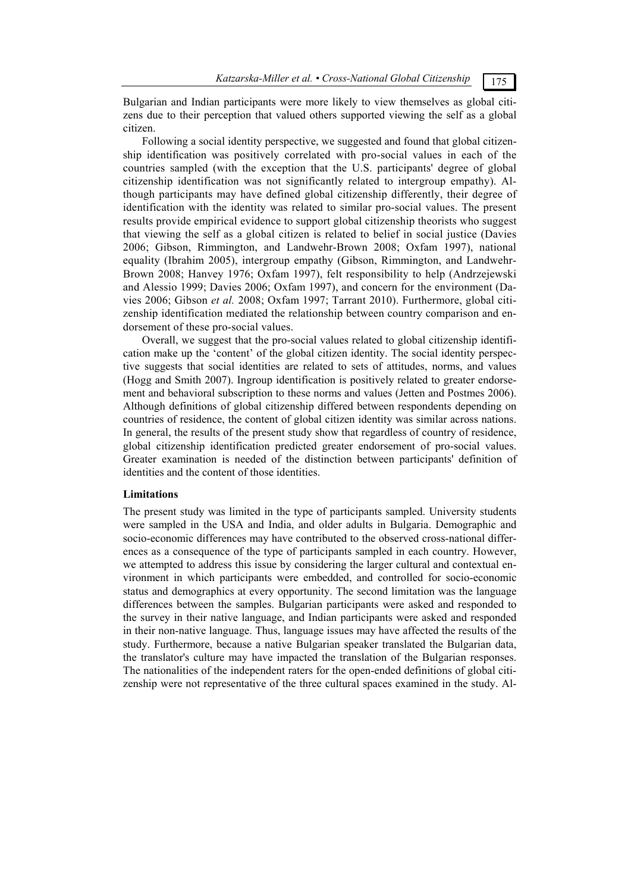Bulgarian and Indian participants were more likely to view themselves as global citizens due to their perception that valued others supported viewing the self as a global citizen.

Following a social identity perspective, we suggested and found that global citizenship identification was positively correlated with pro-social values in each of the countries sampled (with the exception that the U.S. participants' degree of global citizenship identification was not significantly related to intergroup empathy). Although participants may have defined global citizenship differently, their degree of identification with the identity was related to similar pro-social values. The present results provide empirical evidence to support global citizenship theorists who suggest that viewing the self as a global citizen is related to belief in social justice (Davies 2006; Gibson, Rimmington, and Landwehr-Brown 2008; Oxfam 1997), national equality (Ibrahim 2005), intergroup empathy (Gibson, Rimmington, and Landwehr-Brown 2008; Hanvey 1976; Oxfam 1997), felt responsibility to help (Andrzejewski and Alessio 1999; Davies 2006; Oxfam 1997), and concern for the environment (Davies 2006; Gibson *et al.* 2008; Oxfam 1997; Tarrant 2010). Furthermore, global citizenship identification mediated the relationship between country comparison and endorsement of these pro-social values.

Overall, we suggest that the pro-social values related to global citizenship identification make up the 'content' of the global citizen identity. The social identity perspective suggests that social identities are related to sets of attitudes, norms, and values (Hogg and Smith 2007). Ingroup identification is positively related to greater endorsement and behavioral subscription to these norms and values (Jetten and Postmes 2006). Although definitions of global citizenship differed between respondents depending on countries of residence, the content of global citizen identity was similar across nations. In general, the results of the present study show that regardless of country of residence, global citizenship identification predicted greater endorsement of pro-social values. Greater examination is needed of the distinction between participants' definition of identities and the content of those identities.

# **Limitations**

The present study was limited in the type of participants sampled. University students were sampled in the USA and India, and older adults in Bulgaria. Demographic and socio-economic differences may have contributed to the observed cross-national differences as a consequence of the type of participants sampled in each country. However, we attempted to address this issue by considering the larger cultural and contextual environment in which participants were embedded, and controlled for socio-economic status and demographics at every opportunity. The second limitation was the language differences between the samples. Bulgarian participants were asked and responded to the survey in their native language, and Indian participants were asked and responded in their non-native language. Thus, language issues may have affected the results of the study. Furthermore, because a native Bulgarian speaker translated the Bulgarian data, the translator's culture may have impacted the translation of the Bulgarian responses. The nationalities of the independent raters for the open-ended definitions of global citizenship were not representative of the three cultural spaces examined in the study. Al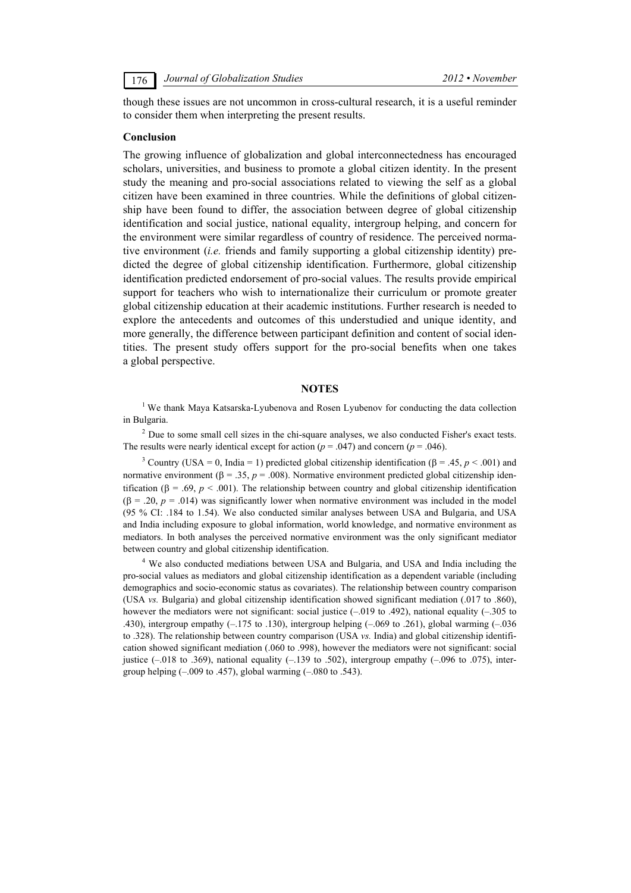though these issues are not uncommon in cross-cultural research, it is a useful reminder to consider them when interpreting the present results.

#### **Conclusion**

The growing influence of globalization and global interconnectedness has encouraged scholars, universities, and business to promote a global citizen identity. In the present study the meaning and pro-social associations related to viewing the self as a global citizen have been examined in three countries. While the definitions of global citizenship have been found to differ, the association between degree of global citizenship identification and social justice, national equality, intergroup helping, and concern for the environment were similar regardless of country of residence. The perceived normative environment (*i.e.* friends and family supporting a global citizenship identity) predicted the degree of global citizenship identification. Furthermore, global citizenship identification predicted endorsement of pro-social values. The results provide empirical support for teachers who wish to internationalize their curriculum or promote greater global citizenship education at their academic institutions. Further research is needed to explore the antecedents and outcomes of this understudied and unique identity, and more generally, the difference between participant definition and content of social identities. The present study offers support for the pro-social benefits when one takes a global perspective.

# **NOTES**

<sup>1</sup> We thank Maya Katsarska-Lyubenova and Rosen Lyubenov for conducting the data collection in Bulgaria.

 $<sup>2</sup>$  Due to some small cell sizes in the chi-square analyses, we also conducted Fisher's exact tests.</sup> The results were nearly identical except for action ( $p = .047$ ) and concern ( $p = .046$ ).

<sup>3</sup> Country (USA = 0, India = 1) predicted global citizenship identification ( $\beta$  = .45,  $p$  < .001) and normative environment ( $\beta = .35$ ,  $p = .008$ ). Normative environment predicted global citizenship identification ( $\beta = .69$ ,  $p < .001$ ). The relationship between country and global citizenship identification  $( \beta = .20, p = .014)$  was significantly lower when normative environment was included in the model (95 % CI: .184 to 1.54). We also conducted similar analyses between USA and Bulgaria, and USA and India including exposure to global information, world knowledge, and normative environment as mediators. In both analyses the perceived normative environment was the only significant mediator between country and global citizenship identification.

<sup>4</sup> We also conducted mediations between USA and Bulgaria, and USA and India including the pro-social values as mediators and global citizenship identification as a dependent variable (including demographics and socio-economic status as covariates). The relationship between country comparison (USA *vs.* Bulgaria) and global citizenship identification showed significant mediation (.017 to .860), however the mediators were not significant: social justice  $(-.019$  to .492), national equality  $(-.305$  to .430), intergroup empathy  $(-.175 \text{ to } .130)$ , intergroup helping  $(-.069 \text{ to } .261)$ , global warming  $(-.036 \text{ to } .130)$ to .328). The relationship between country comparison (USA *vs.* India) and global citizenship identification showed significant mediation (.060 to .998), however the mediators were not significant: social justice  $(-.018 \text{ to } .369)$ , national equality  $(-.139 \text{ to } .502)$ , intergroup empathy  $(-.096 \text{ to } .075)$ , intergroup helping  $(-.009$  to  $.457)$ , global warming  $(-.080$  to  $.543)$ .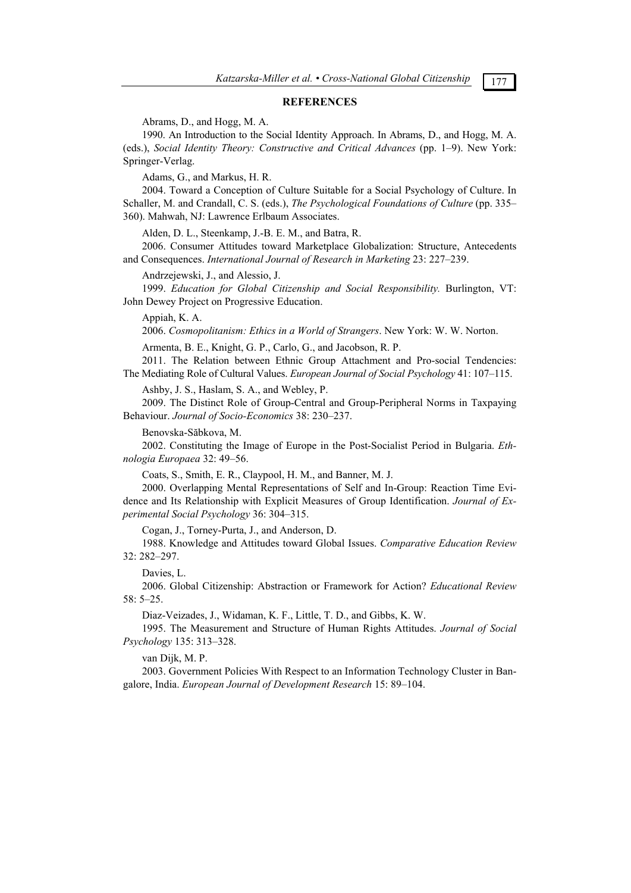### **REFERENCES**

Abrams, D., and Hogg, M. A.

1990. An Introduction to the Social Identity Approach. In Abrams, D., and Hogg, M. A. (eds.), *Social Identity Theory: Constructive and Critical Advances* (pp. 1–9). New York: Springer-Verlag.

Adams, G., and Markus, H. R.

2004. Toward a Conception of Culture Suitable for a Social Psychology of Culture. In Schaller, M. and Crandall, C. S. (eds.), *The Psychological Foundations of Culture* (pp. 335– 360). Mahwah, NJ: Lawrence Erlbaum Associates.

Alden, D. L., Steenkamp, J.-B. E. M., and Batra, R.

2006. Consumer Attitudes toward Marketplace Globalization: Structure, Antecedents and Consequences. *International Journal of Research in Marketing* 23: 227–239.

Andrzejewski, J., and Alessio, J.

1999. *Education for Global Citizenship and Social Responsibility.* Burlington, VT: John Dewey Project on Progressive Education.

Appiah, K. A.

2006. *Cosmopolitanism: Ethics in a World of Strangers*. New York: W. W. Norton.

Armenta, B. E., Knight, G. P., Carlo, G., and Jacobson, R. P.

2011. The Relation between Ethnic Group Attachment and Pro-social Tendencies: The Mediating Role of Cultural Values. *European Journal of Social Psychology* 41: 107–115.

Ashby, J. S., Haslam, S. A., and Webley, P.

2009. The Distinct Role of Group-Central and Group-Peripheral Norms in Taxpaying Behaviour. *Journal of Socio-Economics* 38: 230–237.

Benovska-Săbkova, M.

2002. Constituting the Image of Europe in the Post-Socialist Period in Bulgaria. *Ethnologia Europaea* 32: 49–56.

Coats, S., Smith, E. R., Claypool, H. M., and Banner, M. J.

2000. Overlapping Mental Representations of Self and In-Group: Reaction Time Evidence and Its Relationship with Explicit Measures of Group Identification. *Journal of Experimental Social Psychology* 36: 304–315.

Cogan, J., Torney-Purta, J., and Anderson, D.

1988. Knowledge and Attitudes toward Global Issues. *Comparative Education Review*  32: 282–297.

Davies, L.

2006. Global Citizenship: Abstraction or Framework for Action? *Educational Review*  58: 5–25.

Diaz-Veizades, J., Widaman, K. F., Little, T. D., and Gibbs, K. W.

1995. The Measurement and Structure of Human Rights Attitudes. *Journal of Social Psychology* 135: 313–328.

van Dijk, M. P.

2003. Government Policies With Respect to an Information Technology Cluster in Bangalore, India. *European Journal of Development Research* 15: 89–104.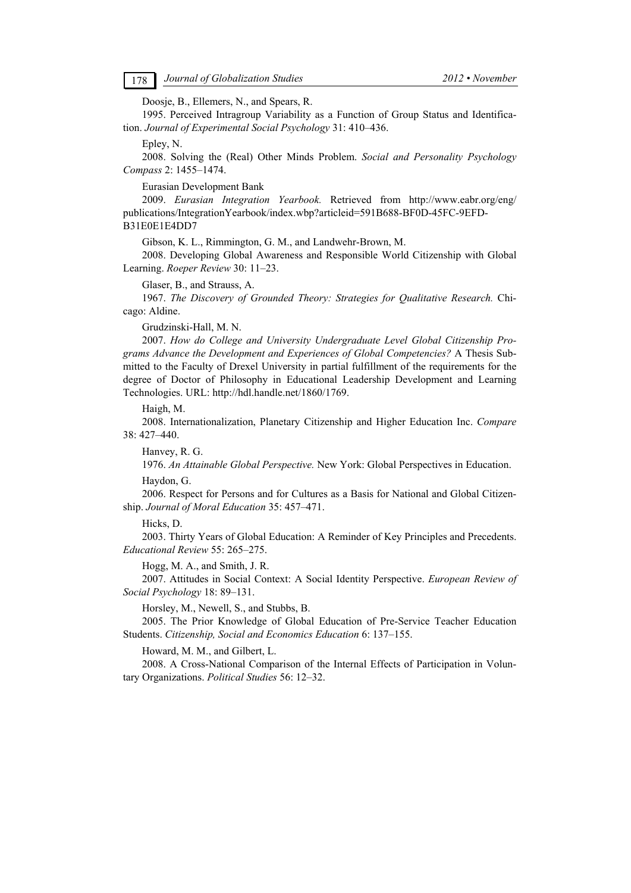Doosje, B., Ellemers, N., and Spears, R.

1995. Perceived Intragroup Variability as a Function of Group Status and Identification. *Journal of Experimental Social Psychology* 31: 410–436.

Epley, N.

2008. Solving the (Real) Other Minds Problem. *Social and Personality Psychology Compass* 2: 1455–1474.

Eurasian Development Bank

2009. *Eurasian Integration Yearbook.* Retrieved from http://www.eabr.org/eng/ publications/IntegrationYearbook/index.wbp?articleid=591B688-BF0D-45FC-9EFD-B31E0E1E4DD7

Gibson, K. L., Rimmington, G. M., and Landwehr-Brown, M.

2008. Developing Global Awareness and Responsible World Citizenship with Global Learning. *Roeper Review* 30: 11–23.

Glaser, B., and Strauss, A.

1967. *The Discovery of Grounded Theory: Strategies for Qualitative Research.* Chicago: Aldine.

Grudzinski-Hall, M. N.

2007. *How do College and University Undergraduate Level Global Citizenship Programs Advance the Development and Experiences of Global Competencies?* A Thesis Submitted to the Faculty of Drexel University in partial fulfillment of the requirements for the degree of Doctor of Philosophy in Educational Leadership Development and Learning Technologies. URL: http://hdl.handle.net/1860/1769.

Haigh, M.

2008. Internationalization, Planetary Citizenship and Higher Education Inc. *Compare*  38: 427–440.

Hanvey, R. G.

1976. *An Attainable Global Perspective.* New York: Global Perspectives in Education. Haydon, G.

2006. Respect for Persons and for Cultures as a Basis for National and Global Citizenship. *Journal of Moral Education* 35: 457–471.

Hicks, D.

2003. Thirty Years of Global Education: A Reminder of Key Principles and Precedents. *Educational Review* 55: 265–275.

Hogg, M. A., and Smith, J. R.

2007. Attitudes in Social Context: A Social Identity Perspective. *European Review of Social Psychology* 18: 89–131.

Horsley, M., Newell, S., and Stubbs, B.

2005. The Prior Knowledge of Global Education of Pre-Service Teacher Education Students. *Citizenship, Social and Economics Education* 6: 137–155.

Howard, M. M., and Gilbert, L.

2008. A Cross-National Comparison of the Internal Effects of Participation in Voluntary Organizations. *Political Studies* 56: 12–32.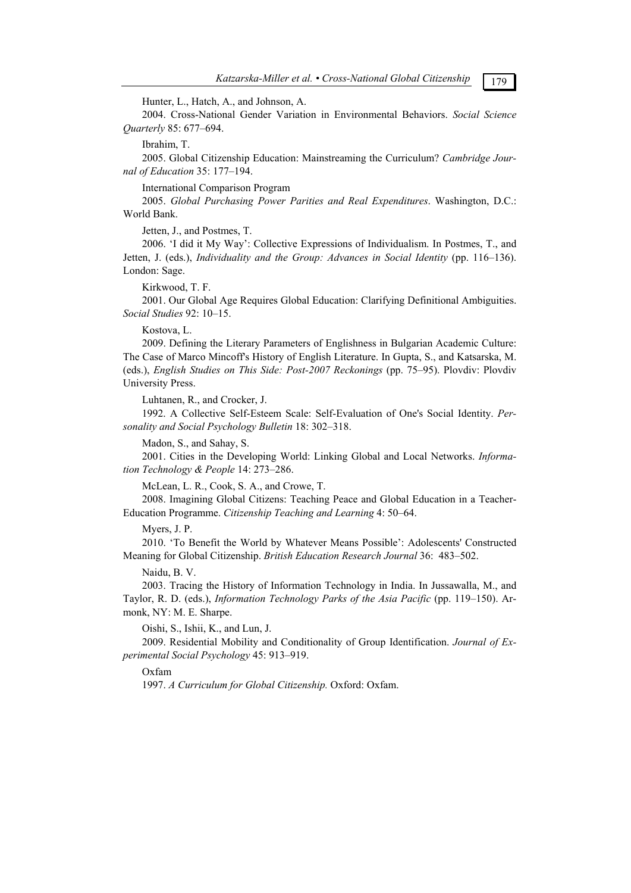Hunter, L., Hatch, A., and Johnson, A.

2004. Cross-National Gender Variation in Environmental Behaviors. *Social Science Quarterly* 85: 677–694.

Ibrahim, T.

2005. Global Citizenship Education: Mainstreaming the Curriculum? *Cambridge Journal of Education* 35: 177–194.

International Comparison Program

2005. *Global Purchasing Power Parities and Real Expenditures*. Washington, D.C.: World Bank.

Jetten, J., and Postmes, T.

2006. 'I did it My Way': Collective Expressions of Individualism. In Postmes, T., and Jetten, J. (eds.), *Individuality and the Group: Advances in Social Identity* (pp. 116–136). London: Sage.

Kirkwood, T. F.

2001. Our Global Age Requires Global Education: Clarifying Definitional Ambiguities. *Social Studies* 92: 10–15.

Kostova, L.

2009. Defining the Literary Parameters of Englishness in Bulgarian Academic Culture: The Case of Marco Mincoff's History of English Literature. In Gupta, S., and Katsarska, M. (eds.), *English Studies on This Side: Post-2007 Reckonings* (pp. 75–95). Plovdiv: Plovdiv University Press.

Luhtanen, R., and Crocker, J.

1992. A Collective Self-Esteem Scale: Self-Evaluation of One's Social Identity. *Personality and Social Psychology Bulletin* 18: 302–318.

Madon, S., and Sahay, S.

2001. Cities in the Developing World: Linking Global and Local Networks. *Information Technology & People* 14: 273–286.

McLean, L. R., Cook, S. A., and Crowe, T.

2008. Imagining Global Citizens: Teaching Peace and Global Education in a Teacher-Education Programme. *Citizenship Teaching and Learning* 4: 50–64.

Myers, J. P.

2010. 'To Benefit the World by Whatever Means Possible': Adolescents' Constructed Meaning for Global Citizenship. *British Education Research Journal* 36: 483–502.

Naidu, B. V.

2003. Tracing the History of Information Technology in India. In Jussawalla, M., and Taylor, R. D. (eds.), *Information Technology Parks of the Asia Pacific* (pp. 119–150). Armonk, NY: M. E. Sharpe.

Oishi, S., Ishii, K., and Lun, J.

2009. Residential Mobility and Conditionality of Group Identification. *Journal of Experimental Social Psychology* 45: 913–919.

Oxfam

1997. *A Curriculum for Global Citizenship.* Oxford: Oxfam.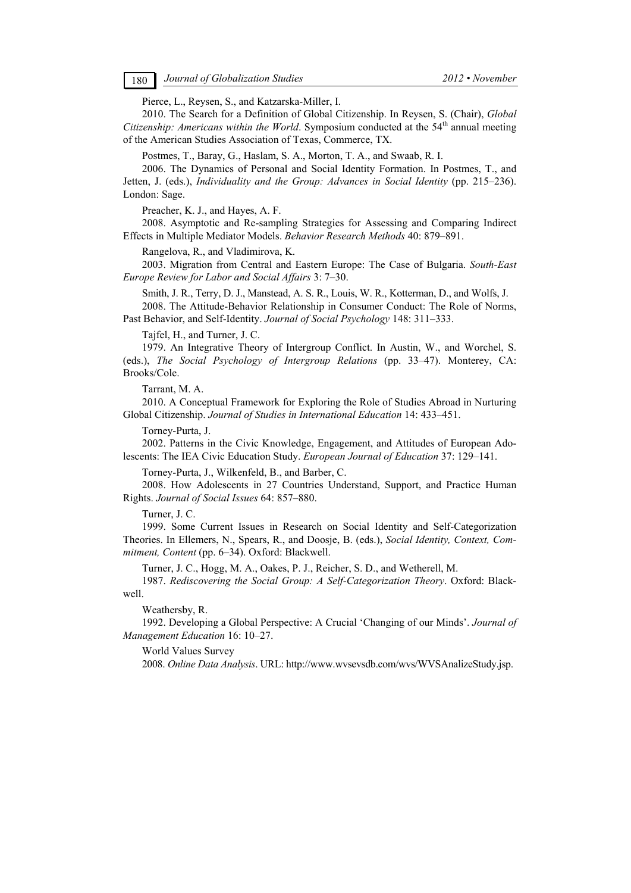Pierce, L., Reysen, S., and Katzarska-Miller, I.

2010. The Search for a Definition of Global Citizenship. In Reysen, S. (Chair), *Global Citizenship: Americans within the World*. Symposium conducted at the 54<sup>th</sup> annual meeting of the American Studies Association of Texas, Commerce, TX.

Postmes, T., Baray, G., Haslam, S. A., Morton, T. A., and Swaab, R. I.

2006. The Dynamics of Personal and Social Identity Formation. In Postmes, T., and Jetten, J. (eds.), *Individuality and the Group: Advances in Social Identity* (pp. 215–236). London: Sage.

Preacher, K. J., and Hayes, A. F.

2008. Asymptotic and Re-sampling Strategies for Assessing and Comparing Indirect Effects in Multiple Mediator Models. *Behavior Research Methods* 40: 879–891.

Rangelova, R., and Vladimirova, K.

2003. Migration from Central and Eastern Europe: The Case of Bulgaria. *South-East Europe Review for Labor and Social Affairs* 3: 7–30.

Smith, J. R., Terry, D. J., Manstead, A. S. R., Louis, W. R., Kotterman, D., and Wolfs, J. 2008. The Attitude-Behavior Relationship in Consumer Conduct: The Role of Norms, Past Behavior, and Self-Identity. *Journal of Social Psychology* 148: 311–333.

Tajfel, H., and Turner, J. C.

1979. An Integrative Theory of Intergroup Conflict. In Austin, W., and Worchel, S. (eds.), *The Social Psychology of Intergroup Relations* (pp. 33–47). Monterey, CA: Brooks/Cole.

Tarrant, M. A.

2010. A Conceptual Framework for Exploring the Role of Studies Abroad in Nurturing Global Citizenship. *Journal of Studies in International Education* 14: 433–451.

Torney-Purta, J.

2002. Patterns in the Civic Knowledge, Engagement, and Attitudes of European Adolescents: The IEA Civic Education Study. *European Journal of Education* 37: 129–141.

Torney-Purta, J., Wilkenfeld, B., and Barber, C.

2008. How Adolescents in 27 Countries Understand, Support, and Practice Human Rights. *Journal of Social Issues* 64: 857–880.

Turner, J. C.

1999. Some Current Issues in Research on Social Identity and Self-Categorization Theories. In Ellemers, N., Spears, R., and Doosje, B. (eds.), *Social Identity, Context, Commitment, Content* (pp. 6–34). Oxford: Blackwell.

Turner, J. C., Hogg, M. A., Oakes, P. J., Reicher, S. D., and Wetherell, M.

1987. *Rediscovering the Social Group: A Self-Categorization Theory*. Oxford: Blackwell.

Weathersby, R.

1992. Developing a Global Perspective: A Crucial 'Changing of our Minds'. *Journal of Management Education* 16: 10–27.

World Values Survey

2008. *Online Data Analysis*. URL: http://www.wvsevsdb.com/wvs/WVSAnalizeStudy.jsp.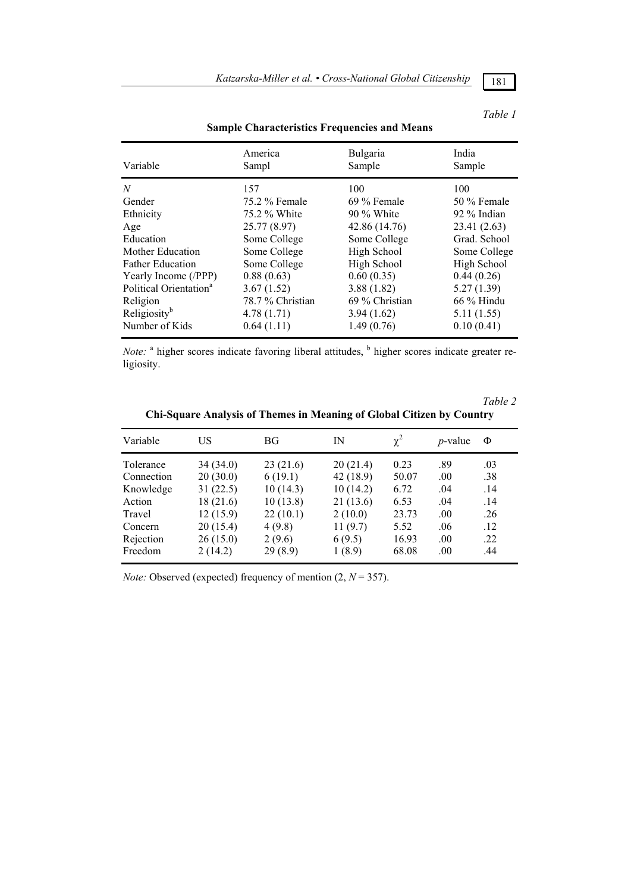# *Table 1*

| Variable                           | America<br>Sampl | Bulgaria<br>Sample | India<br>Sample |
|------------------------------------|------------------|--------------------|-----------------|
| N                                  | 157              | 100                | 100             |
| Gender                             | 75.2 % Female    | $69\%$ Female      | $50\%$ Female   |
| Ethnicity                          | 75.2 % White     | $90\%$ White       | 92 % Indian     |
| Age                                | 25.77 (8.97)     | 42.86 (14.76)      | 23.41 (2.63)    |
| Education                          | Some College     | Some College       | Grad. School    |
| Mother Education                   | Some College     | High School        | Some College    |
| <b>Father Education</b>            | Some College     | High School        | High School     |
| Yearly Income (/PPP)               | 0.88(0.63)       | 0.60(0.35)         | 0.44(0.26)      |
| Political Orientation <sup>a</sup> | 3.67(1.52)       | 3.88(1.82)         | 5.27(1.39)      |
| Religion                           | 78.7 % Christian | 69 % Christian     | 66 % Hindu      |
| Religiosity <sup>b</sup>           | 4.78(1.71)       | 3.94(1.62)         | 5.11(1.55)      |
| Number of Kids                     | 0.64(1.11)       | 1.49(0.76)         | 0.10(0.41)      |

# **Sample Characteristics Frequencies and Means**

*Note*: <sup>a</sup> higher scores indicate favoring liberal attitudes, <sup>b</sup> higher scores indicate greater religiosity.

*Table 2* 

| Variable   | US       | BG       | IN       | $\chi^2$ | $p$ -value | Ф   |
|------------|----------|----------|----------|----------|------------|-----|
| Tolerance  | 34(34.0) | 23(21.6) | 20(21.4) | 0.23     | .89        | .03 |
| Connection | 20(30.0) | 6(19.1)  | 42(18.9) | 50.07    | .00.       | .38 |
| Knowledge  | 31(22.5) | 10(14.3) | 10(14.2) | 6.72     | .04        | .14 |
| Action     | 18(21.6) | 10(13.8) | 21(13.6) | 6.53     | .04        | .14 |
| Travel     | 12(15.9) | 22(10.1) | 2(10.0)  | 23.73    | .00.       | .26 |
| Concern    | 20(15.4) | 4(9.8)   | 11(9.7)  | 5.52     | .06        | .12 |
| Rejection  | 26(15.0) | 2(9.6)   | 6(9.5)   | 16.93    | .00.       | .22 |
| Freedom    | 2(14.2)  | 29(8.9)  | 1(8.9)   | 68.08    | .00        | .44 |

*Note:* Observed (expected) frequency of mention  $(2, N = 357)$ .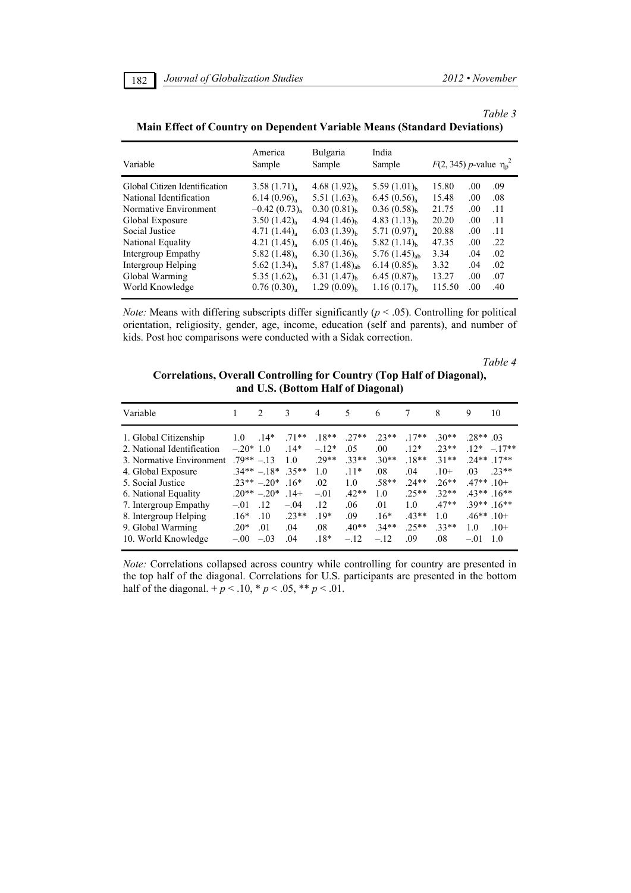*Table 3* 

| America<br>Sample         | Bulgaria<br>Sample | India<br>Sample           | $F(2, 345)$ <i>p</i> -value $\eta_p^2$ |      |     |
|---------------------------|--------------------|---------------------------|----------------------------------------|------|-----|
| $3.58(1.71)$ <sub>a</sub> | $4.68(1.92)_{h}$   | $5.59(1.01)_{h}$          | 15.80                                  | .00  | .09 |
| $6.14(0.96)_{\rm a}$      | 5.51 $(1.63)_{h}$  | 6.45(0.56)                | 15.48                                  | .00. | .08 |
| $-0.42(0.73)_{a}$         | $0.30(0.81)_{h}$   | $0.36(0.58)_{h}$          | 21.75                                  | .00. | .11 |
| 3.50 $(1.42)_{a}$         | 4.94 $(1.46)_{h}$  | 4.83 $(1.13)_{h}$         | 20.20                                  | .00  | .11 |
| $4.71(1.44)$ <sub>a</sub> | $6.03(1.39)_{h}$   | $5.71(0.97)$ <sub>a</sub> | 20.88                                  | .00  | .11 |
| $4.21(1.45)$ <sub>a</sub> | $6.05(1.46)_{h}$   | $5.82(1.14)_{h}$          | 47.35                                  | .00  | .22 |
| 5.82 $(1.48)_{\rm a}$     | $6.30(1.36)_{h}$   | 5.76 $(1.45)_{ab}$        | 3.34                                   | .04  | .02 |
| 5.62 $(1.34)_{\rm a}$     | 5.87 $(1.48)_{ab}$ | $6.14(0.85)_{h}$          | 3.32                                   | .04  | .02 |
| 5.35 $(1.62)_{\rm a}$     | $6.31(1.47)_{h}$   | $6.45(0.87)_{h}$          | 13.27                                  | .00. | .07 |
| 0.76(0.30) <sub>a</sub>   | $1.29(0.09)_{h}$   | $1.16(0.17)_{h}$          | 115.50                                 | .00  | .40 |
|                           |                    |                           |                                        |      |     |

**Main Effect of Country on Dependent Variable Means (Standard Deviations)** 

*Note:* Means with differing subscripts differ significantly ( $p < .05$ ). Controlling for political orientation, religiosity, gender, age, income, education (self and parents), and number of kids. Post hoc comparisons were conducted with a Sidak correction.

*Table 4* 

**Correlations, Overall Controlling for Country (Top Half of Diagonal), and U.S. (Bottom Half of Diagonal)** 

| Variable                                                                                                                                                                                                                                         |                                                                     | $\mathcal{L}$                                                                                               | $\mathcal{F}$                                                       | 4                                                                                    | 5                                                                                       | 6                                                                                      | 7                                                                                         | 8                                                                                               | 9                                                                        | 10                                                                              |
|--------------------------------------------------------------------------------------------------------------------------------------------------------------------------------------------------------------------------------------------------|---------------------------------------------------------------------|-------------------------------------------------------------------------------------------------------------|---------------------------------------------------------------------|--------------------------------------------------------------------------------------|-----------------------------------------------------------------------------------------|----------------------------------------------------------------------------------------|-------------------------------------------------------------------------------------------|-------------------------------------------------------------------------------------------------|--------------------------------------------------------------------------|---------------------------------------------------------------------------------|
| 1. Global Citizenship<br>2. National Identification<br>3. Normative Environment<br>4. Global Exposure<br>5. Social Justice<br>6. National Equality<br>7. Intergroup Empathy<br>8. Intergroup Helping<br>9. Global Warming<br>10. World Knowledge | 1.0<br>$-20*10$<br>$79** - 13$<br>$-01$<br>$16*$<br>$20*$<br>$-.00$ | $14*$<br>$.34** - 18*$ 35**<br>$.23** - 20*$ 16 <sup>*</sup><br>$20** - 20*$<br>.12<br>.10<br>.01<br>$-.03$ | $.71**$<br>$14*$<br>10<br>$.14+$<br>$-.04$<br>$.23**$<br>.04<br>.04 | $.18**$<br>$-12*$<br>$29**$<br>10<br>.02<br>$-.01$<br>.12<br>$.19*$<br>.08<br>$.18*$ | $.27**$<br>.05<br>$33**$<br>$.11*$<br>1.0<br>$.42**$<br>.06<br>.09<br>$.40**$<br>$-.12$ | $.23**$<br>.00<br>$30**$<br>.08<br>$.58**$<br>1.0<br>.01<br>$.16*$<br>$34**$<br>$-.12$ | $17**$<br>$12*$<br>$.18**$<br>.04<br>$.24**$<br>$.25**$<br>1.0<br>$43**$<br>$.25**$<br>09 | $30**$<br>$23**$<br>$.31**$<br>$.10+$<br>$.26**$<br>$.32**$<br>$.47**$<br>1.0<br>$.33**$<br>.08 | $28**03$<br>$.12*$<br>.03<br>$47**$ 10+<br>$.46**$ . 10+<br>10<br>$-.01$ | $-17**$<br>$24**$ 17**<br>$23**$<br>$43**$ 16**<br>$.39**$ 16**<br>$.10+$<br>10 |

*Note:* Correlations collapsed across country while controlling for country are presented in the top half of the diagonal. Correlations for U.S. participants are presented in the bottom half of the diagonal.  $+p < .10, * p < .05, ** p < .01$ .